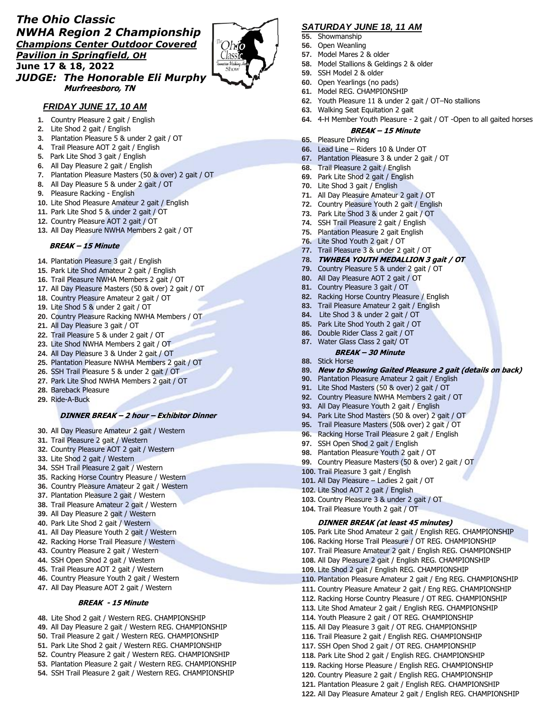# *The Ohio Classic NWHA Region 2 Championship Champions Center Outdoor Covered Pavilion in Springfield, OH* **June 17 & 18, 2022** *JUDGE: The Honorable Eli Murphy*



## *FRIDAY JUNE 17, 10 AM*

 **Murfreesboro, TN**

- **1.** Country Pleasure 2 gait / English
- **2.** Lite Shod 2 gait / English
- **3.** Plantation Pleasure 5 & under 2 gait / OT
- **4.** Trail Pleasure AOT 2 gait / English
- **5.** Park Lite Shod 3 gait / English
- **6.** All Day Pleasure 2 gait / English
- **7.** Plantation Pleasure Masters (50 & over) 2 gait / OT
- **8.** All Day Pleasure 5 & under 2 gait / OT
- **9.** Pleasure Racking English
- **10.** Lite Shod Pleasure Amateur 2 gait / English
- **11.** Park Lite Shod 5 & under 2 gait / OT
- **12.** Country Pleasure AOT 2 gait / OT
- **13.** All Day Pleasure NWHA Members 2 gait / OT

### **BREAK – 15 Minute**

- **14.** Plantation Pleasure 3 gait / English
- **15.** Park Lite Shod Amateur 2 gait / English
- **16.** Trail Pleasure NWHA Members 2 gait / OT
- **17.** All Day Pleasure Masters (50 & over) 2 gait / OT
- **18.** Country Pleasure Amateur 2 gait / OT
- **19.** Lite Shod 5 & under 2 gait / OT
- **20.** Country Pleasure Racking NWHA Members / OT
- **21.** All Day Pleasure 3 gait / OT
- **22.** Trail Pleasure 5 & under 2 gait / OT
- **23.** Lite Shod NWHA Members 2 gait / OT
- **24.** All Day Pleasure 3 & Under 2 gait / OT
- **25.** Plantation Pleasure NWHA Members 2 gait / OT
- **26.** SSH Trail Pleasure 5 & under 2 gait / OT
- **27.** Park Lite Shod NWHA Members 2 gait / OT
- **28.** Bareback Pleasure
- **29.** Ride-A-Buck

### **DINNER BREAK – 2 hour – Exhibitor Dinner**

- **30.** All Day Pleasure Amateur 2 gait / Western
- **31.** Trail Pleasure 2 gait / Western
- **32.** Country Pleasure AOT 2 gait / Western
- **33.** Lite Shod 2 gait / Western
- **34.** SSH Trail Pleasure 2 gait / Western
- **35.** Racking Horse Country Pleasure / Western
- **36.** Country Pleasure Amateur 2 gait / Western
- **37.** Plantation Pleasure 2 gait / Western
- **38.** Trail Pleasure Amateur 2 gait / Western
- **39.** All Day Pleasure 2 gait / Western
- **40.** Park Lite Shod 2 gait / Western
- **41.** All Day Pleasure Youth 2 gait / Western
- **42.** Racking Horse Trail Pleasure / Western
- **43.** Country Pleasure 2 gait / Western
- **44.** SSH Open Shod 2 gait / Western
- **45.** Trail Pleasure AOT 2 gait / Western
- **46.** Country Pleasure Youth 2 gait / Western
- **47.** All Day Pleasure AOT 2 gait / Western

## **BREAK - 15 Minute**

- **48.** Lite Shod 2 gait / Western REG. CHAMPIONSHIP
- **49.** All Day Pleasure 2 gait / Western REG. CHAMPIONSHIP
- **50.** Trail Pleasure 2 gait / Western REG. CHAMPIONSHIP
- **51.** Park Lite Shod 2 gait / Western REG. CHAMPIONSHIP
- **52.** Country Pleasure 2 gait / Western REG. CHAMPIONSHIP
- **53.** Plantation Pleasure 2 gait / Western REG. CHAMPIONSHIP
- **54.** SSH Trail Pleasure 2 gait / Western REG. CHAMPIONSHIP

# *SATURDAY JUNE 18, 11 AM*

- **55.** Showmanship
- **56.** Open Weanling
- **57.** Model Mares 2 & older
- **58.** Model Stallions & Geldings 2 & older
- **59.** SSH Model 2 & older
- **60.** Open Yearlings (no pads)
- **61.** Model REG. CHAMPIONSHIP
- **62.** Youth Pleasure 11 & under 2 gait / OT–No stallions
- **63.** Walking Seat Equitation 2 gait
- **64.** 4-H Member Youth Pleasure 2 gait / OT -Open to all gaited horses

### **BREAK – 15 Minute**

- **65.** Pleasure Driving
- **66.** Lead Line Riders 10 & Under OT
- **67.** Plantation Pleasure 3 & under 2 gait / OT
- **68.** Trail Pleasure 2 gait / English
- **69.** Park Lite Shod 2 gait / English
- **70.** Lite Shod 3 gait / English
- **71.** All Day Pleasure Amateur 2 gait / OT
- **72.** Country Pleasure Youth 2 gait / English
- **73.** Park Lite Shod 3 & under 2 gait / OT
- **74.** SSH Trail Pleasure 2 gait / English
- **75.** Plantation Pleasure 2 gait English
- **76.** Lite Shod Youth 2 gait / OT
- **77.** Trail Pleasure 3 & under 2 gait / OT
- **78. TWHBEA YOUTH MEDALLION 3 gait / OT**
- **79.** Country Pleasure 5 & under 2 gait / OT
- **80.** All Day Pleasure AOT 2 gait / OT
- **81.** Country Pleasure 3 gait / OT
- **82.** Racking Horse Country Pleasure / English
- **83.** Trail Pleasure Amateur 2 gait / English
- **84.** Lite Shod 3 & under 2 gait / OT
- **85.** Park Lite Shod Youth 2 gait / OT
- **86.** Double Rider Class 2 gait / OT
- **87.** Water Glass Class 2 gait/ OT
- **BREAK – 30 Minute**
- **88.** Stick Horse
- **89. New to Showing Gaited Pleasure 2 gait (details on back)**
- **90.** Plantation Pleasure Amateur 2 gait / English

**99.** Country Pleasure Masters (50 & over) 2 gait / OT

**DINNER BREAK (at least 45 minutes)**

**105.** Park Lite Shod Amateur 2 gait / English REG. CHAMPIONSHIP **106.** Racking Horse Trail Pleasure / OT REG. CHAMPIONSHIP **107.** Trail Pleasure Amateur 2 gait / English REG. CHAMPIONSHIP **108.** All Day Pleasure 2 gait / English REG. CHAMPIONSHIP **109.** Lite Shod 2 gait / English REG. CHAMPIONSHIP

**110.** Plantation Pleasure Amateur 2 gait / Eng REG. CHAMPIONSHIP **111.** Country Pleasure Amateur 2 gait / Eng REG. CHAMPIONSHIP **112.** Racking Horse Country Pleasure / OT REG. CHAMPIONSHIP **113.** Lite Shod Amateur 2 gait / English REG. CHAMPIONSHIP **114.** Youth Pleasure 2 gait / OT REG. CHAMPIONSHIP **115.** All Day Pleasure 3 gait / OT REG. CHAMPIONSHIP **116.** Trail Pleasure 2 gait / English REG. CHAMPIONSHIP **117.** SSH Open Shod 2 gait / OT REG. CHAMPIONSHIP **118.** Park Lite Shod 2 gait / English REG. CHAMPIONSHIP **119.** Racking Horse Pleasure / English REG. CHAMPIONSHIP **120.** Country Pleasure 2 gait / English REG. CHAMPIONSHIP **121.** Plantation Pleasure 2 gait / English REG. CHAMPIONSHIP **122.** All Day Pleasure Amateur 2 gait / English REG. CHAMPIONSHIP

**91.** Lite Shod Masters (50 & over) 2 gait / OT **92.** Country Pleasure NWHA Members 2 gait / OT

**93.** All Day Pleasure Youth 2 gait / English **94.** Park Lite Shod Masters (50 & over) 2 gait / OT **95.** Trail Pleasure Masters (50& over) 2 gait / OT **96.** Racking Horse Trail Pleasure 2 gait / English

**97.** SSH Open Shod 2 gait / English **98.** Plantation Pleasure Youth 2 gait / OT

**100.** Trail Pleasure 3 gait / English **101.** All Day Pleasure – Ladies 2 gait / OT **102.** Lite Shod AOT 2 gait / English **103.** Country Pleasure 3 & under 2 gait / OT **104.** Trail Pleasure Youth 2 gait / OT